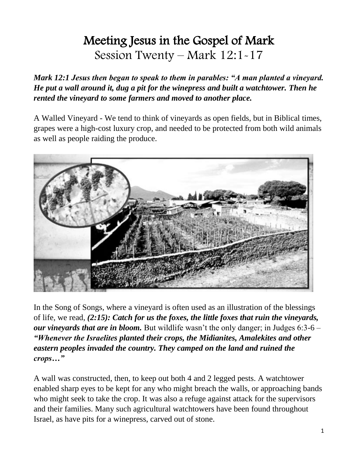# Meeting Jesus in the Gospel of Mark Session Twenty – Mark 12:1-17

*Mark 12:1 Jesus then began to speak to them in parables: "A man planted a vineyard. He put a wall around it, dug a pit for the winepress and built a watchtower. Then he rented the vineyard to some farmers and moved to another place.*

A Walled Vineyard - We tend to think of vineyards as open fields, but in Biblical times, grapes were a high-cost luxury crop, and needed to be protected from both wild animals as well as people raiding the produce.



In the Song of Songs, where a vineyard is often used as an illustration of the blessings of life, we read, *(2:15): Catch for us the foxes, the little foxes that ruin the vineyards, our vineyards that are in bloom.* But wildlife wasn't the only danger; in Judges 6:3-6 – *"Whenever the Israelites planted their crops, the Midianites, Amalekites and other eastern peoples invaded the country. They camped on the land and ruined the crops…"*

A wall was constructed, then, to keep out both 4 and 2 legged pests. A watchtower enabled sharp eyes to be kept for any who might breach the walls, or approaching bands who might seek to take the crop. It was also a refuge against attack for the supervisors and their families. Many such agricultural watchtowers have been found throughout Israel, as have pits for a winepress, carved out of stone.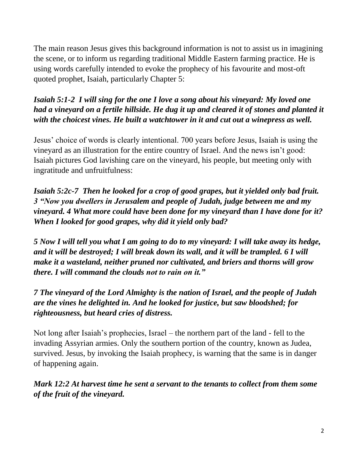The main reason Jesus gives this background information is not to assist us in imagining the scene, or to inform us regarding traditional Middle Eastern farming practice. He is using words carefully intended to evoke the prophecy of his favourite and most-oft quoted prophet, Isaiah, particularly Chapter 5:

#### *Isaiah 5:1-2 I will sing for the one I love a song about his vineyard: My loved one had a vineyard on a fertile hillside. He dug it up and cleared it of stones and planted it with the choicest vines. He built a watchtower in it and cut out a winepress as well.*

Jesus' choice of words is clearly intentional. 700 years before Jesus, Isaiah is using the vineyard as an illustration for the entire country of Israel. And the news isn't good: Isaiah pictures God lavishing care on the vineyard, his people, but meeting only with ingratitude and unfruitfulness:

*Isaiah 5:2c-7 Then he looked for a crop of good grapes, but it yielded only bad fruit. 3 "Now you dwellers in Jerusalem and people of Judah, judge between me and my vineyard. 4 What more could have been done for my vineyard than I have done for it? When I looked for good grapes, why did it yield only bad?*

*5 Now I will tell you what I am going to do to my vineyard: I will take away its hedge, and it will be destroyed; I will break down its wall, and it will be trampled. 6 I will make it a wasteland, neither pruned nor cultivated, and briers and thorns will grow there. I will command the clouds not to rain on it."*

*7 The vineyard of the Lord Almighty is the nation of Israel, and the people of Judah are the vines he delighted in. And he looked for justice, but saw bloodshed; for righteousness, but heard cries of distress.*

Not long after Isaiah's prophecies, Israel – the northern part of the land - fell to the invading Assyrian armies. Only the southern portion of the country, known as Judea, survived. Jesus, by invoking the Isaiah prophecy, is warning that the same is in danger of happening again.

*Mark 12:2 At harvest time he sent a servant to the tenants to collect from them some of the fruit of the vineyard.*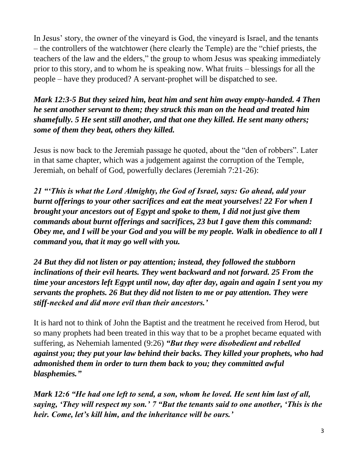In Jesus' story, the owner of the vineyard is God, the vineyard is Israel, and the tenants – the controllers of the watchtower (here clearly the Temple) are the "chief priests, the teachers of the law and the elders," the group to whom Jesus was speaking immediately prior to this story, and to whom he is speaking now. What fruits – blessings for all the people – have they produced? A servant-prophet will be dispatched to see.

*Mark 12:3-5 But they seized him, beat him and sent him away empty-handed. 4 Then he sent another servant to them; they struck this man on the head and treated him shamefully. 5 He sent still another, and that one they killed. He sent many others; some of them they beat, others they killed.*

Jesus is now back to the Jeremiah passage he quoted, about the "den of robbers". Later in that same chapter, which was a judgement against the corruption of the Temple, Jeremiah, on behalf of God, powerfully declares (Jeremiah 7:21-26):

*21 "'This is what the Lord Almighty, the God of Israel, says: Go ahead, add your burnt offerings to your other sacrifices and eat the meat yourselves! 22 For when I brought your ancestors out of Egypt and spoke to them, I did not just give them commands about burnt offerings and sacrifices, 23 but I gave them this command: Obey me, and I will be your God and you will be my people. Walk in obedience to all I command you, that it may go well with you.* 

*24 But they did not listen or pay attention; instead, they followed the stubborn inclinations of their evil hearts. They went backward and not forward. 25 From the time your ancestors left Egypt until now, day after day, again and again I sent you my servants the prophets. 26 But they did not listen to me or pay attention. They were stiff-necked and did more evil than their ancestors.'*

It is hard not to think of John the Baptist and the treatment he received from Herod, but so many prophets had been treated in this way that to be a prophet became equated with suffering, as Nehemiah lamented (9:26) *"But they were disobedient and rebelled against you; they put your law behind their backs. They killed your prophets, who had admonished them in order to turn them back to you; they committed awful blasphemies."*

*Mark 12:6 "He had one left to send, a son, whom he loved. He sent him last of all, saying, 'They will respect my son.' 7 "But the tenants said to one another, 'This is the heir. Come, let's kill him, and the inheritance will be ours.'*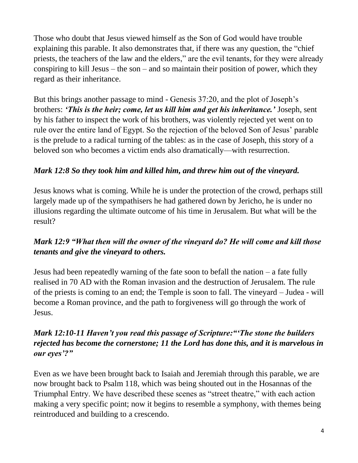Those who doubt that Jesus viewed himself as the Son of God would have trouble explaining this parable. It also demonstrates that, if there was any question, the "chief priests, the teachers of the law and the elders," are the evil tenants, for they were already conspiring to kill Jesus – the son – and so maintain their position of power, which they regard as their inheritance.

But this brings another passage to mind - Genesis 37:20, and the plot of Joseph's brothers: *'This is the heir; come, let us kill him and get his inheritance.'* Joseph, sent by his father to inspect the work of his brothers, was violently rejected yet went on to rule over the entire land of Egypt. So the rejection of the beloved Son of Jesus' parable is the prelude to a radical turning of the tables: as in the case of Joseph, this story of a beloved son who becomes a victim ends also dramatically—with resurrection.

# *Mark 12:8 So they took him and killed him, and threw him out of the vineyard.*

Jesus knows what is coming. While he is under the protection of the crowd, perhaps still largely made up of the sympathisers he had gathered down by Jericho, he is under no illusions regarding the ultimate outcome of his time in Jerusalem. But what will be the result?

# *Mark 12:9 "What then will the owner of the vineyard do? He will come and kill those tenants and give the vineyard to others.*

Jesus had been repeatedly warning of the fate soon to befall the nation – a fate fully realised in 70 AD with the Roman invasion and the destruction of Jerusalem. The rule of the priests is coming to an end; the Temple is soon to fall. The vineyard – Judea - will become a Roman province, and the path to forgiveness will go through the work of Jesus.

## *Mark 12:10-11 Haven't you read this passage of Scripture:"'The stone the builders rejected has become the cornerstone; 11 the Lord has done this, and it is marvelous in our eyes'?"*

Even as we have been brought back to Isaiah and Jeremiah through this parable, we are now brought back to Psalm 118, which was being shouted out in the Hosannas of the Triumphal Entry. We have described these scenes as "street theatre," with each action making a very specific point; now it begins to resemble a symphony, with themes being reintroduced and building to a crescendo.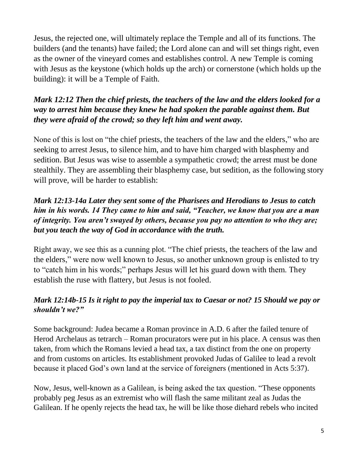Jesus, the rejected one, will ultimately replace the Temple and all of its functions. The builders (and the tenants) have failed; the Lord alone can and will set things right, even as the owner of the vineyard comes and establishes control. A new Temple is coming with Jesus as the keystone (which holds up the arch) or cornerstone (which holds up the building): it will be a Temple of Faith.

## *Mark 12:12 Then the chief priests, the teachers of the law and the elders looked for a way to arrest him because they knew he had spoken the parable against them. But they were afraid of the crowd; so they left him and went away.*

None of this is lost on "the chief priests, the teachers of the law and the elders," who are seeking to arrest Jesus, to silence him, and to have him charged with blasphemy and sedition. But Jesus was wise to assemble a sympathetic crowd; the arrest must be done stealthily. They are assembling their blasphemy case, but sedition, as the following story will prove, will be harder to establish:

## *Mark 12:13-14a Later they sent some of the Pharisees and Herodians to Jesus to catch him in his words. 14 They came to him and said, "Teacher, we know that you are a man of integrity. You aren't swayed by others, because you pay no attention to who they are; but you teach the way of God in accordance with the truth.*

Right away, we see this as a cunning plot. "The chief priests, the teachers of the law and the elders," were now well known to Jesus, so another unknown group is enlisted to try to "catch him in his words;" perhaps Jesus will let his guard down with them. They establish the ruse with flattery, but Jesus is not fooled.

### *Mark 12:14b-15 Is it right to pay the imperial tax to Caesar or not? 15 Should we pay or shouldn't we?"*

Some background: Judea became a Roman province in A.D. 6 after the failed tenure of Herod Archelaus as tetrarch – Roman procurators were put in his place. A census was then taken, from which the Romans levied a head tax, a tax distinct from the one on property and from customs on articles. Its establishment provoked Judas of Galilee to lead a revolt because it placed God's own land at the service of foreigners (mentioned in Acts 5:37).

Now, Jesus, well-known as a Galilean, is being asked the tax question. "These opponents probably peg Jesus as an extremist who will flash the same militant zeal as Judas the Galilean. If he openly rejects the head tax, he will be like those diehard rebels who incited